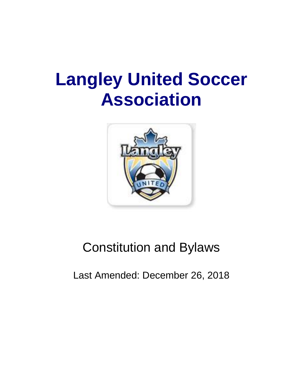# **Langley United Soccer Association**



# Constitution and Bylaws

Last Amended: December 26, 2018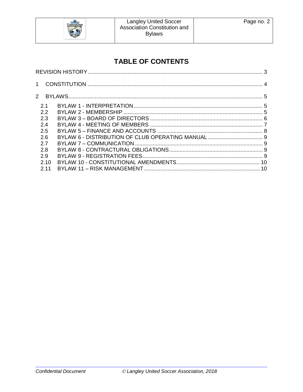

# **TABLE OF CONTENTS**

| 21   |  |  |
|------|--|--|
| 2.2  |  |  |
| 2.3  |  |  |
| 24   |  |  |
| 2.5  |  |  |
| 2.6  |  |  |
| 2.7  |  |  |
| 2.8  |  |  |
| 2.9  |  |  |
| 2.10 |  |  |
| 2.11 |  |  |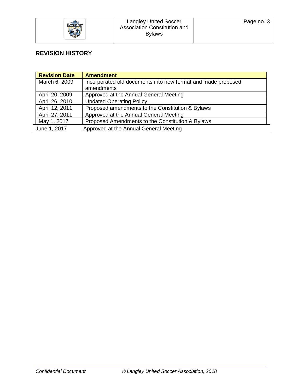

# <span id="page-2-0"></span>**REVISION HISTORY**

| <b>Revision Date</b> | <b>Amendment</b>                                             |
|----------------------|--------------------------------------------------------------|
| March 6, 2009        | Incorporated old documents into new format and made proposed |
|                      | amendments                                                   |
| April 20, 2009       | Approved at the Annual General Meeting                       |
| April 26, 2010       | <b>Updated Operating Policy</b>                              |
| April 12, 2011       | Proposed amendments to the Constitution & Bylaws             |
| April 27, 2011       | Approved at the Annual General Meeting                       |
| May 1, 2017          | Proposed Amendments to the Constitution & Bylaws             |
| June 1, 2017         | Approved at the Annual General Meeting                       |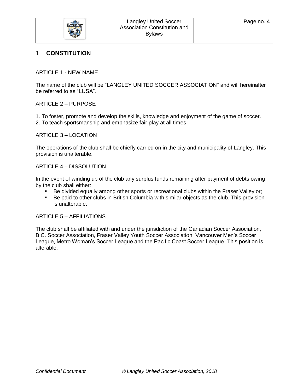

#### <span id="page-3-0"></span>1 **CONSTITUTION**

ARTICLE 1 - NEW NAME

The name of the club will be "LANGLEY UNITED SOCCER ASSOCIATION" and will hereinafter be referred to as "LUSA".

#### ARTICLE 2 – PURPOSE

1. To foster, promote and develop the skills, knowledge and enjoyment of the game of soccer. 2. To teach sportsmanship and emphasize fair play at all times.

#### ARTICLE 3 – LOCATION

The operations of the club shall be chiefly carried on in the city and municipality of Langley. This provision is unalterable.

#### ARTICLE 4 – DISSOLUTION

In the event of winding up of the club any surplus funds remaining after payment of debts owing by the club shall either:

- Be divided equally among other sports or recreational clubs within the Fraser Valley or;
- Be paid to other clubs in British Columbia with similar objects as the club. This provision is unalterable.

#### ARTICLE 5 – AFFILIATIONS

The club shall be affiliated with and under the jurisdiction of the Canadian Soccer Association, B.C. Soccer Association, Fraser Valley Youth Soccer Association, Vancouver Men's Soccer League, Metro Woman's Soccer League and the Pacific Coast Soccer League. This position is alterable.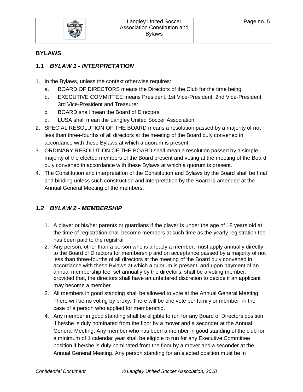

#### <span id="page-4-0"></span>**BYLAWS**

#### <span id="page-4-1"></span>*1.1 BYLAW 1 - INTERPRETATION*

- 1. In the Bylaws, unless the context otherwise requires:
	- a. BOARD OF DIRECTORS means the Directors of the Club for the time being.
	- b. EXECUTIVE COMMITTEE means President, 1st Vice-President, 2nd Vice-President, 3rd Vice-President and Treasurer.
	- c. BOARD shall mean the Board of Directors
	- d. LUSA shall mean the Langley United Soccer Association
- 2. SPECIAL RESOLUTION OF THE BOARD means a resolution passed by a majority of not less than three-fourths of all directors at the meeting of the Board duly convened in accordance with these Bylaws at which a quorum is present.
- 3. ORDINARY RESOLUTION OF THE BOARD shall mean a resolution passed by a simple majority of the elected members of the Board present and voting at the meeting of the Board duly convened in accordance with these Bylaws at which a quorum is present.
- 4. The Constitution and interpretation of the Constitution and Bylaws by the Board shall be final and binding unless such construction and interpretation by the Board is amended at the Annual General Meeting of the members.

## <span id="page-4-2"></span>*1.2 BYLAW 2 - MEMBERSHIP*

- 1. A player or his/her parents or guardians if the player is under the age of 18 years old at the time of registration shall become members at such time as the yearly registration fee has been paid to the registrar
- 2. Any person, other than a person who is already a member, must apply annually directly to the Board of Directors for membership and on acceptance passed by a majority of not less than three-fourths of all directors at the meeting of the Board duly convened in accordance with these Bylaws at which a quorum is present, and upon payment of an annual membership fee, set annually by the directors, shall be a voting member; provided that, the directors shall have an unfettered discretion to decide if an applicant may become a member
- 3. All members in good standing shall be allowed to vote at the Annual General Meeting. There will be no voting by proxy. There will be one vote per family or member, in the case of a person who applied for membership.
- 4. Any member in good standing shall be eligible to run for any Board of Directors position if he/she is duly nominated from the floor by a mover and a seconder at the Annual General Meeting. Any member who has been a member in good standing of the club for a minimum of 1 calendar year shall be eligible to run for any Executive Committee position if he/she is duly nominated from the floor by a mover and a seconder at the Annual General Meeting. Any person standing for an elected position must be in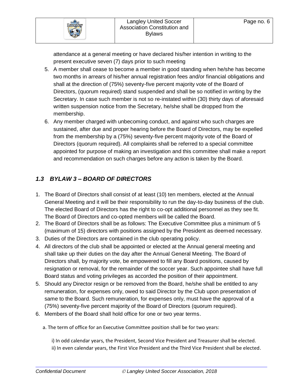attendance at a general meeting or have declared his/her intention in writing to the present executive seven (7) days prior to such meeting

- 5. A member shall cease to become a member in good standing when he/she has become two months in arrears of his/her annual registration fees and/or financial obligations and shall at the direction of (75%) seventy-five percent majority vote of the Board of Directors, (quorum required) stand suspended and shall be so notified in writing by the Secretary. In case such member is not so re-instated within (30) thirty days of aforesaid written suspension notice from the Secretary, he/she shall be dropped from the membership.
- 6. Any member charged with unbecoming conduct, and against who such charges are sustained, after due and proper hearing before the Board of Directors, may be expelled from the membership by a (75%) seventy-five percent majority vote of the Board of Directors (quorum required). All complaints shall be referred to a special committee appointed for purpose of making an investigation and this committee shall make a report and recommendation on such charges before any action is taken by the Board.

# <span id="page-5-0"></span>*1.3 BYLAW 3 – BOARD OF DIRECTORS*

- 1. The Board of Directors shall consist of at least (10) ten members, elected at the Annual General Meeting and it will be their responsibility to run the day-to-day business of the club. The elected Board of Directors has the right to co-opt additional personnel as they see fit. The Board of Directors and co-opted members will be called the Board.
- 2. The Board of Directors shall be as follows: The Executive Committee plus a minimum of 5 (maximum of 15) directors with positions assigned by the President as deemed necessary.
- 3. Duties of the Directors are contained in the club operating policy.
- 4. All directors of the club shall be appointed or elected at the Annual general meeting and shall take up their duties on the day after the Annual General Meeting. The Board of Directors shall, by majority vote, be empowered to fill any Board positions, caused by resignation or removal, for the remainder of the soccer year. Such appointee shall have full Board status and voting privileges as accorded the position of their appointment.
- 5. Should any Director resign or be removed from the Board, he/she shall be entitled to any remuneration, for expenses only, owed to said Director by the Club upon presentation of same to the Board. Such remuneration, for expenses only, must have the approval of a (75%) seventy-five percent majority of the Board of Directors (quorum required).
- 6. Members of the Board shall hold office for one or two year terms.
	- a. The term of office for an Executive Committee position shall be for two years:

i) In odd calendar years, the President, Second Vice President and Treasurer shall be elected. ii) In even calendar years, the First Vice President and the Third Vice President shall be elected.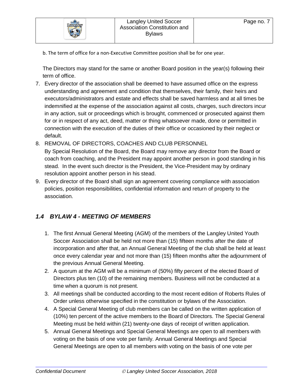

b. The term of office for a non-Executive Committee position shall be for one year.

The Directors may stand for the same or another Board position in the year(s) following their term of office.

- 7. Every director of the association shall be deemed to have assumed office on the express understanding and agreement and condition that themselves, their family, their heirs and executors/administrators and estate and effects shall be saved harmless and at all times be indemnified at the expense of the association against all costs, charges, such directors incur in any action, suit or proceedings which is brought, commenced or prosecuted against them for or in respect of any act, deed, matter or thing whatsoever made, done or permitted in connection with the execution of the duties of their office or occasioned by their neglect or default.
- 8. REMOVAL OF DIRECTORS, COACHES AND CLUB PERSONNEL

By Special Resolution of the Board, the Board may remove any director from the Board or coach from coaching, and the President may appoint another person in good standing in his stead. In the event such director is the President, the Vice-President may by ordinary resolution appoint another person in his stead.

9. Every director of the Board shall sign an agreement covering compliance with association policies, position responsibilities, confidential information and return of property to the association.

## <span id="page-6-0"></span>*1.4 BYLAW 4 - MEETING OF MEMBERS*

- 1. The first Annual General Meeting (AGM) of the members of the Langley United Youth Soccer Association shall be held not more than (15) fifteen months after the date of incorporation and after that, an Annual General Meeting of the club shall be held at least once every calendar year and not more than (15) fifteen months after the adjournment of the previous Annual General Meeting.
- 2. A quorum at the AGM will be a minimum of (50%) fifty percent of the elected Board of Directors plus ten (10) of the remaining members. Business will not be conducted at a time when a quorum is not present.
- 3. All meetings shall be conducted according to the most recent edition of Roberts Rules of Order unless otherwise specified in the constitution or bylaws of the Association.
- 4. A Special General Meeting of club members can be called on the written application of (10%) ten percent of the active members to the Board of Directors. The Special General Meeting must be held within (21) twenty-one days of receipt of written application.
- 5. Annual General Meetings and Special General Meetings are open to all members with voting on the basis of one vote per family. Annual General Meetings and Special General Meetings are open to all members with voting on the basis of one vote per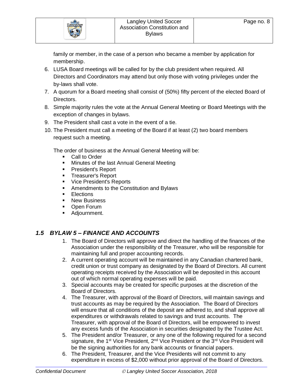

family or member, in the case of a person who became a member by application for membership.

- 6. LUSA Board meetings will be called for by the club president when required. All Directors and Coordinators may attend but only those with voting privileges under the by-laws shall vote.
- 7. A quorum for a Board meeting shall consist of (50%) fifty percent of the elected Board of Directors.
- 8. Simple majority rules the vote at the Annual General Meeting or Board Meetings with the exception of changes in bylaws.
- 9. The President shall cast a vote in the event of a tie.
- 10. The President must call a meeting of the Board if at least (2) two board members request such a meeting.

The order of business at the Annual General Meeting will be:

- Call to Order
- **■** Minutes of the last Annual General Meeting
- President's Report
- **EXEC** Treasurer's Report
- Vice President's Reports
- Amendments to the Constitution and Bylaws
- **Elections**
- New Business
- Open Forum
- Adjournment.

## <span id="page-7-0"></span>*1.5 BYLAW 5 – FINANCE AND ACCOUNTS*

- 1. The Board of Directors will approve and direct the handling of the finances of the Association under the responsibility of the Treasurer, who will be responsible for maintaining full and proper accounting records.
- 2. A current operating account will be maintained in any Canadian chartered bank, credit union or trust company as designated by the Board of Directors. All current operating receipts received by the Association will be deposited in this account out of which normal operating expenses will be paid.
- 3. Special accounts may be created for specific purposes at the discretion of the Board of Directors.
- 4. The Treasurer, with approval of the Board of Directors, will maintain savings and trust accounts as may be required by the Association. The Board of Directors will ensure that all conditions of the deposit are adhered to, and shall approve all expenditures or withdrawals related to savings and trust accounts. The Treasurer, with approval of the Board of Directors, will be empowered to invest any excess funds of the Association in securities designated by the Trustee Act.
- 5. The President and/or Treasurer, or any one of the following required for a second signature, the 1<sup>st</sup> Vice President, 2<sup>nd</sup> Vice President or the 3<sup>rd</sup> Vice President will be the signing authorities for any bank accounts or financial papers.
- 6. The President, Treasurer, and the Vice Presidents will not commit to any expenditure in excess of \$2,000 without prior approval of the Board of Directors.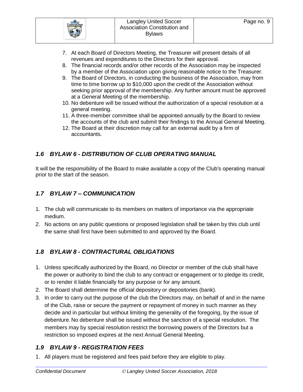

- 7. At each Board of Directors Meeting, the Treasurer will present details of all revenues and expenditures to the Directors for their approval.
- 8. The financial records and/or other records of the Association may be inspected by a member of the Association upon giving reasonable notice to the Treasurer.
- 9. The Board of Directors, in conducting the business of the Association, may from time to time borrow up to \$10,000 upon the credit of the Association without seeking prior approval of the membership. Any further amount must be approved at a General Meeting of the membership.
- 10. No debenture will be issued without the authorization of a special resolution at a general meeting.
- 11. A three-member committee shall be appointed annually by the Board to review the accounts of the club and submit their findings to the Annual General Meeting.
- 12. The Board at their discretion may call for an external audit by a firm of accountants.

## <span id="page-8-0"></span>*1.6 BYLAW 6 - DISTRIBUTION OF CLUB OPERATING MANUAL*

It will be the responsibility of the Board to make available a copy of the Club's operating manual prior to the start of the season.

#### <span id="page-8-1"></span>*1.7 BYLAW 7 – COMMUNICATION*

- 1. The club will communicate to its members on matters of importance via the appropriate medium.
- 2. No actions on any public questions or proposed legislation shall be taken by this club until the same shall first have been submitted to and approved by the Board.

## <span id="page-8-2"></span>*1.8 BYLAW 8 - CONTRACTURAL OBLIGATIONS*

- 1. Unless specifically authorized by the Board, no Director or member of the club shall have the power or authority to bind the club to any contract or engagement or to pledge its credit, or to render it liable financially for any purpose or for any amount.
- 2. The Board shall determine the official depository or depositories (bank).
- 3. In order to carry out the purpose of the club the Directors may, on behalf of and in the name of the Club, raise or secure the payment or repayment of money in such manner as they decide and in particular but without limiting the generality of the foregoing, by the issue of debenture. No debenture shall be issued without the sanction of a special resolution. The members may by special resolution restrict the borrowing powers of the Directors but a restriction so imposed expires at the next Annual General Meeting.

## <span id="page-8-3"></span>*1.9 BYLAW 9 - REGISTRATION FEES*

1. All players must be registered and fees paid before they are eligible to play.